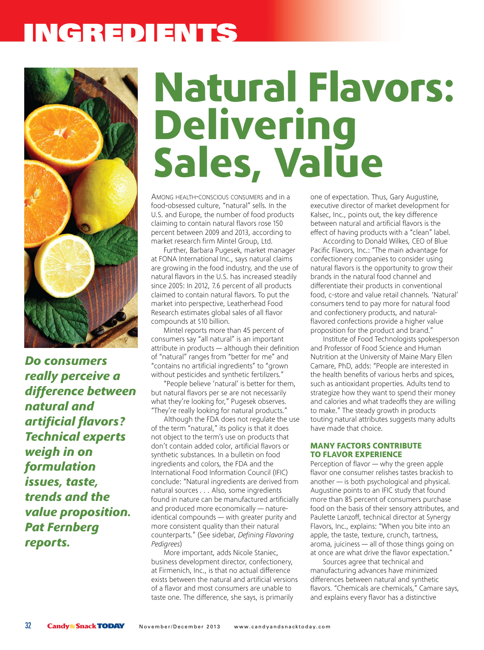### INGREDIENTS



*Do consumers really perceive a difference between natural and artificial flavors? Technical experts weigh in on formulation issues, taste, trends and the value proposition. Pat Fernberg reports.* 

# **Natural Flavors: Delivering Sales, Value**

Among heAlth-conscious consumers and in a food-obsessed culture, "natural" sells. in the U.S. and Europe, the number of food products claiming to contain natural flavors rose 150 percent between 2009 and 2013, according to market research firm mintel group, ltd.

Further, Barbara Pugesek, market manager at FONA International Inc., says natural claims are growing in the food industry, and the use of natural flavors in the U.S. has increased steadily since 2005: in 2012, 7.6 percent of all products claimed to contain natural flavors. To put the market into perspective, leatherhead Food Research estimates global sales of all flavor compounds at \$10 billion.

Mintel reports more than 45 percent of consumers say "all natural" is an important attribute in products — although their definition of "natural" ranges from "better for me" and "contains no artificial ingredients" to "grown without pesticides and synthetic fertilizers."

"People believe 'natural' is better for them, but natural flavors per se are not necessarily what they're looking for," Pugesek observes. "they're really looking for natural products."

Although the FDA does not regulate the use of the term "natural," its policy is that it does not object to the term's use on products that don't contain added color, artificial flavors or synthetic substances. in a bulletin on food ingredients and colors, the FDA and the international Food information council (iFic) conclude: "natural ingredients are derived from natural sources . . . Also, some ingredients found in nature can be manufactured artificially and produced more economically — natureidentical compounds — with greater purity and more consistent quality than their natural counterparts." (see sidebar, *Defining Flavoring Pedigrees*)

More important, adds Nicole Staniec, business development director, confectionery, at Firmenich, inc., is that no actual difference exists between the natural and artificial versions of a flavor and most consumers are unable to taste one. The difference, she says, is primarily

one of expectation. Thus, Gary Augustine, executive director of market development for Kalsec, inc., points out, the key difference between natural and artificial flavors is the effect of having products with a "clean" label.

According to Donald Wilkes, CEO of Blue Pacific Flavors, Inc.: "The main advantage for confectionery companies to consider using natural flavors is the opportunity to grow their brands in the natural food channel and differentiate their products in conventional food, c-store and value retail channels. 'Natural' consumers tend to pay more for natural food and confectionery products, and naturalflavored confections provide a higher value proposition for the product and brand."

institute of Food technologists spokesperson and Professor of Food Science and Human Nutrition at the University of Maine Mary Ellen camare, PhD, adds: "People are interested in the health benefits of various herbs and spices, such as antioxidant properties. Adults tend to strategize how they want to spend their money and calories and what tradeoffs they are willing to make." The steady growth in products touting natural attributes suggests many adults have made that choice.

#### **MANY FACTORS CONTRIBUTE TO FLAVOR EXPERIENCE**

Perception of flavor — why the green apple flavor one consumer relishes tastes brackish to another — is both psychological and physical. Augustine points to an iFic study that found more than 85 percent of consumers purchase food on the basis of their sensory attributes, and Paulette lanzoff, technical director at synergy Flavors, inc., explains: "When you bite into an apple, the taste, texture, crunch, tartness, aroma, juiciness — all of those things going on at once are what drive the flavor expectation."

sources agree that technical and manufacturing advances have minimized differences between natural and synthetic flavors. "chemicals are chemicals," camare says, and explains every flavor has a distinctive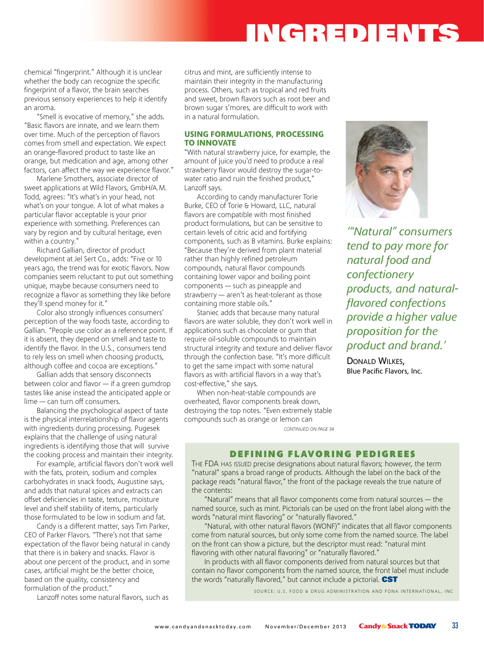### INGREDIENTS

chemical "fingerprint." Although it is unclear whether the body can recognize the specific fingerprint of a flavor, the brain searches previous sensory experiences to help it identify an aroma.

"Smell is evocative of memory," she adds. "Basic flavors are innate, and we learn them over time. Much of the perception of flavors comes from smell and expectation. We expect an orange-flavored product to taste like an orange, but medication and age, among other factors, can affect the way we experience flavor."

Marlene Smothers, associate director of sweet applications at Wild Flavors, GmbH/A.M. Todd, agrees: "It's what's in your head, not what's on your tongue. A lot of what makes a particular flavor acceptable is your prior experience with something. Preferences can vary by region and by cultural heritage, even within a country."

Richard Gallian, director of product development at Jel Sert Co., adds: "Five or 10 years ago, the trend was for exotic flavors. Now companies seem reluctant to put out something unique, maybe because consumers need to recognize a flavor as something they like before they'll spend money for it."

Color also strongly influences consumers' perception of the way foods taste, according to Gallian. "People use color as a reference point. If it is absent, they depend on smell and taste to identify the flavor. In the U.S., consumers tend to rely less on smell when choosing products, although coffee and cocoa are exceptions."

Gallian adds that sensory disconnects between color and flavor — if a green gumdrop tastes like anise instead the anticipated apple or lime — can turn off consumers.

Balancing the psychological aspect of taste is the physical interrelationship of flavor agents with ingredients during processing. Pugesek explains that the challenge of using natural ingredients is identifying those that will survive the cooking process and maintain their integrity.

For example, artificial flavors don't work well with the fats, protein, sodium and complex carbohydrates in snack foods, Augustine says, and adds that natural spices and extracts can offset deficiencies in taste, texture, moisture level and shelf stability of items, particularly those formulated to be low in sodium and fat.

Candy is a different matter, says Tim Parker, CEO of Parker Flavors. "There's not that same expectation of the flavor being natural in candy that there is in bakery and snacks. Flavor is about one percent of the product, and in some cases, artificial might be the better choice, based on the quality, consistency and formulation of the product."

Lanzoff notes some natural flavors, such as

citrus and mint, are sufficiently intense to maintain their integrity in the manufacturing process. Others, such as tropical and red fruits and sweet, brown flavors such as root beer and brown sugar s'mores, are difficult to work with in a natural formulation.

#### **USING FORMULATIONS, PROCESSING TO INNOVATE**

"With natural strawberry juice, for example, the amount of juice you'd need to produce a real strawberry flavor would destroy the sugar-towater ratio and ruin the finished product," Lanzoff says.

According to candy manufacturer Torie Burke, CEO of Torie & Howard, LLC, natural flavors are compatible with most finished product formulations, but can be sensitive to certain levels of citric acid and fortifying components, such as B vitamins. Burke explains: "Because they're derived from plant material rather than highly refined petroleum compounds, natural flavor compounds containing lower vapor and boiling point components — such as pineapple and strawberry — aren't as heat-tolerant as those containing more stable oils."

Staniec adds that because many natural flavors are water soluble, they don't work well in applications such as chocolate or gum that require oil-soluble compounds to maintain structural integrity and texture and deliver flavor through the confection base. "It's more difficult to get the same impact with some natural flavors as with artificial flavors in a way that's cost-effective," she says.

When non-heat-stable compounds are overheated, flavor components break down, destroying the top notes. "Even extremely stable compounds such as orange or lemon can *CONTINUED ON PAGE 34*



*'"Natural" consumers tend to pay more for natural food and confectionery products, and naturalflavored confections provide a higher value proposition for the product and brand.'*

DONALD WILKES, Blue Pacific Flavors, Inc.

### **DEFINING FLAVORING PEDIGREES**

THE FDA HAS ISSUED precise designations about natural flavors; however, the term "natural" spans a broad range of products. Although the label on the back of the package reads "natural flavor," the front of the package reveals the true nature of the contents:

"Natural" means that all flavor components come from natural sources — the named source, such as mint. Pictorials can be used on the front label along with the words "natural mint flavoring" or "naturally flavored."

"Natural, with other natural flavors (WONF)" indicates that all flavor components come from natural sources, but only some come from the named source. The label on the front can show a picture, but the descriptor must read: "natural mint flavoring with other natural flavoring" or "naturally flavored."

In products with all flavor components derived from natural sources but that contain no flavor components from the named source, the front label must include the words "naturally flavored," but cannot include a pictorial. CST

SOURCE: U.S. FOOD & DRUG ADMINISTRATION AND FONA INTERNATIONAL, INC